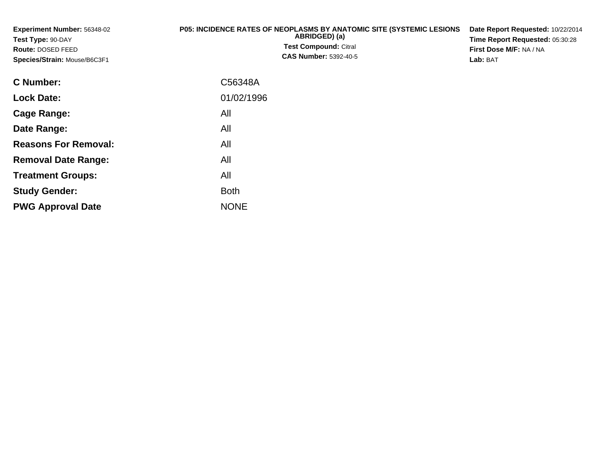| Experiment Number: 56348-02<br>Test Type: 90-DAY<br>Route: DOSED FEED<br>Species/Strain: Mouse/B6C3F1 | <b>P05: INCIDENCE RATES OF NEOPLASMS BY ANATOMIC SITE (SYSTEMIC LESIONS</b><br>ABRIDGED) (a)<br>Test Compound: Citral<br><b>CAS Number: 5392-40-5</b> | Date Report Requested: 10/22/2014<br>Time Report Requested: 05:30:28<br>First Dose M/F: NA / NA<br>Lab: BAT |
|-------------------------------------------------------------------------------------------------------|-------------------------------------------------------------------------------------------------------------------------------------------------------|-------------------------------------------------------------------------------------------------------------|
| <b>C</b> Number:                                                                                      | C56348A                                                                                                                                               |                                                                                                             |
| <b>Lock Date:</b>                                                                                     | 01/02/1996                                                                                                                                            |                                                                                                             |
| <b>Cage Range:</b>                                                                                    | All                                                                                                                                                   |                                                                                                             |
| Date Range:                                                                                           | All                                                                                                                                                   |                                                                                                             |
| <b>Reasons For Removal:</b>                                                                           | All                                                                                                                                                   |                                                                                                             |
| <b>Removal Date Range:</b>                                                                            | All                                                                                                                                                   |                                                                                                             |
| <b>Treatment Groups:</b>                                                                              | All                                                                                                                                                   |                                                                                                             |
| <b>Study Gender:</b>                                                                                  | <b>Both</b>                                                                                                                                           |                                                                                                             |
| <b>PWG Approval Date</b>                                                                              | <b>NONE</b>                                                                                                                                           |                                                                                                             |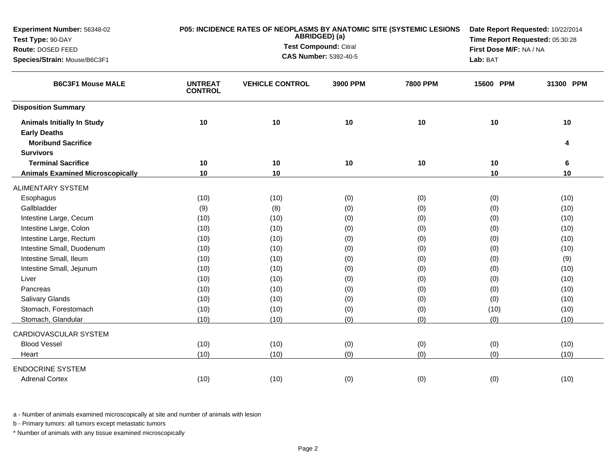| Experiment Number: 56348-02<br>Test Type: 90-DAY         |                                  | P05: INCIDENCE RATES OF NEOPLASMS BY ANATOMIC SITE (SYSTEMIC LESIONS<br>ABRIDGED) (a) | Date Report Requested: 10/22/2014<br>Time Report Requested: 05:30:28<br>First Dose M/F: NA / NA |                 |           |           |
|----------------------------------------------------------|----------------------------------|---------------------------------------------------------------------------------------|-------------------------------------------------------------------------------------------------|-----------------|-----------|-----------|
| Route: DOSED FEED                                        |                                  | Test Compound: Citral                                                                 |                                                                                                 |                 |           |           |
| Species/Strain: Mouse/B6C3F1                             |                                  |                                                                                       | <b>CAS Number: 5392-40-5</b>                                                                    |                 | Lab: BAT  |           |
| <b>B6C3F1 Mouse MALE</b>                                 | <b>UNTREAT</b><br><b>CONTROL</b> | <b>VEHICLE CONTROL</b>                                                                | 3900 PPM                                                                                        | <b>7800 PPM</b> | 15600 PPM | 31300 PPM |
| <b>Disposition Summary</b>                               |                                  |                                                                                       |                                                                                                 |                 |           |           |
| <b>Animals Initially In Study</b><br><b>Early Deaths</b> | 10                               | 10                                                                                    | 10                                                                                              | 10              | 10        | 10        |
| <b>Moribund Sacrifice</b>                                |                                  |                                                                                       |                                                                                                 |                 |           | 4         |
| <b>Survivors</b>                                         |                                  |                                                                                       |                                                                                                 |                 |           |           |
| <b>Terminal Sacrifice</b>                                | 10                               | 10                                                                                    | 10                                                                                              | 10              | 10        | 6         |
| <b>Animals Examined Microscopically</b>                  | 10                               | 10                                                                                    |                                                                                                 |                 | 10        | 10        |
| ALIMENTARY SYSTEM                                        |                                  |                                                                                       |                                                                                                 |                 |           |           |
| Esophagus                                                | (10)                             | (10)                                                                                  | (0)                                                                                             | (0)             | (0)       | (10)      |
| Gallbladder                                              | (9)                              | (8)                                                                                   | (0)                                                                                             | (0)             | (0)       | (10)      |
| Intestine Large, Cecum                                   | (10)                             | (10)                                                                                  | (0)                                                                                             | (0)             | (0)       | (10)      |
| Intestine Large, Colon                                   | (10)                             | (10)                                                                                  | (0)                                                                                             | (0)             | (0)       | (10)      |
| Intestine Large, Rectum                                  | (10)                             | (10)                                                                                  | (0)                                                                                             | (0)             | (0)       | (10)      |
| Intestine Small, Duodenum                                | (10)                             | (10)                                                                                  | (0)                                                                                             | (0)             | (0)       | (10)      |
| Intestine Small, Ileum                                   | (10)                             | (10)                                                                                  | (0)                                                                                             | (0)             | (0)       | (9)       |
| Intestine Small, Jejunum                                 | (10)                             | (10)                                                                                  | (0)                                                                                             | (0)             | (0)       | (10)      |
| Liver                                                    | (10)                             | (10)                                                                                  | (0)                                                                                             | (0)             | (0)       | (10)      |
| Pancreas                                                 | (10)                             | (10)                                                                                  | (0)                                                                                             | (0)             | (0)       | (10)      |
| Salivary Glands                                          | (10)                             | (10)                                                                                  | (0)                                                                                             | (0)             | (0)       | (10)      |
| Stomach, Forestomach                                     | (10)                             | (10)                                                                                  | (0)                                                                                             | (0)             | (10)      | (10)      |
| Stomach, Glandular                                       | (10)                             | (10)                                                                                  | (0)                                                                                             | (0)             | (0)       | (10)      |
| CARDIOVASCULAR SYSTEM                                    |                                  |                                                                                       |                                                                                                 |                 |           |           |
| <b>Blood Vessel</b>                                      | (10)                             | (10)                                                                                  | (0)                                                                                             | (0)             | (0)       | (10)      |
| Heart                                                    | (10)                             | (10)                                                                                  | (0)                                                                                             | (0)             | (0)       | (10)      |
|                                                          |                                  |                                                                                       |                                                                                                 |                 |           |           |
| <b>ENDOCRINE SYSTEM</b><br><b>Adrenal Cortex</b>         |                                  |                                                                                       |                                                                                                 |                 |           |           |
|                                                          | (10)                             | (10)                                                                                  | (0)                                                                                             | (0)             | (0)       | (10)      |

b - Primary tumors: all tumors except metastatic tumors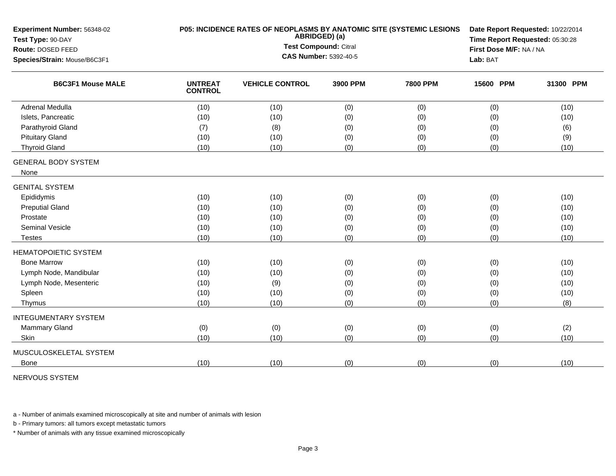| Experiment Number: 56348-02<br>Test Type: 90-DAY | P05: INCIDENCE RATES OF NEOPLASMS BY ANATOMIC SITE (SYSTEMIC LESIONS | Date Report Requested: 10/22/2014<br>Time Report Requested: 05:30:28 |                              |                 |           |           |
|--------------------------------------------------|----------------------------------------------------------------------|----------------------------------------------------------------------|------------------------------|-----------------|-----------|-----------|
| Route: DOSED FEED                                |                                                                      | Test Compound: Citral                                                | First Dose M/F: NA / NA      |                 |           |           |
| Species/Strain: Mouse/B6C3F1                     |                                                                      |                                                                      | <b>CAS Number: 5392-40-5</b> |                 | Lab: BAT  |           |
| <b>B6C3F1 Mouse MALE</b>                         | <b>UNTREAT</b><br><b>CONTROL</b>                                     | <b>VEHICLE CONTROL</b>                                               | 3900 PPM                     | <b>7800 PPM</b> | 15600 PPM | 31300 PPM |
| <b>Adrenal Medulla</b>                           | (10)                                                                 | (10)                                                                 | (0)                          | (0)             | (0)       | (10)      |
| Islets, Pancreatic                               | (10)                                                                 | (10)                                                                 | (0)                          | (0)             | (0)       | (10)      |
| Parathyroid Gland                                | (7)                                                                  | (8)                                                                  | (0)                          | (0)             | (0)       | (6)       |
| <b>Pituitary Gland</b>                           | (10)                                                                 | (10)                                                                 | (0)                          | (0)             | (0)       | (9)       |
| <b>Thyroid Gland</b>                             | (10)                                                                 | (10)                                                                 | (0)                          | (0)             | (0)       | (10)      |
| <b>GENERAL BODY SYSTEM</b><br>None               |                                                                      |                                                                      |                              |                 |           |           |
| <b>GENITAL SYSTEM</b>                            |                                                                      |                                                                      |                              |                 |           |           |
| Epididymis                                       | (10)                                                                 | (10)                                                                 | (0)                          | (0)             | (0)       | (10)      |
| <b>Preputial Gland</b>                           | (10)                                                                 | (10)                                                                 | (0)                          | (0)             | (0)       | (10)      |
| Prostate                                         | (10)                                                                 | (10)                                                                 | (0)                          | (0)             | (0)       | (10)      |
| <b>Seminal Vesicle</b>                           | (10)                                                                 | (10)                                                                 | (0)                          | (0)             | (0)       | (10)      |
| <b>Testes</b>                                    | (10)                                                                 | (10)                                                                 | (0)                          | (0)             | (0)       | (10)      |
| <b>HEMATOPOIETIC SYSTEM</b>                      |                                                                      |                                                                      |                              |                 |           |           |
| <b>Bone Marrow</b>                               | (10)                                                                 | (10)                                                                 | (0)                          | (0)             | (0)       | (10)      |
| Lymph Node, Mandibular                           | (10)                                                                 | (10)                                                                 | (0)                          | (0)             | (0)       | (10)      |
| Lymph Node, Mesenteric                           | (10)                                                                 | (9)                                                                  | (0)                          | (0)             | (0)       | (10)      |
| Spleen                                           | (10)                                                                 | (10)                                                                 | (0)                          | (0)             | (0)       | (10)      |
| Thymus                                           | (10)                                                                 | (10)                                                                 | (0)                          | (0)             | (0)       | (8)       |
| <b>INTEGUMENTARY SYSTEM</b>                      |                                                                      |                                                                      |                              |                 |           |           |
| <b>Mammary Gland</b>                             | (0)                                                                  | (0)                                                                  | (0)                          | (0)             | (0)       | (2)       |
| Skin                                             | (10)                                                                 | (10)                                                                 | (0)                          | (0)             | (0)       | (10)      |
| MUSCULOSKELETAL SYSTEM                           |                                                                      |                                                                      |                              |                 |           |           |
| <b>Bone</b>                                      | (10)                                                                 | (10)                                                                 | (0)                          | (0)             | (0)       | (10)      |

NERVOUS SYSTEM

a - Number of animals examined microscopically at site and number of animals with lesion

b - Primary tumors: all tumors except metastatic tumors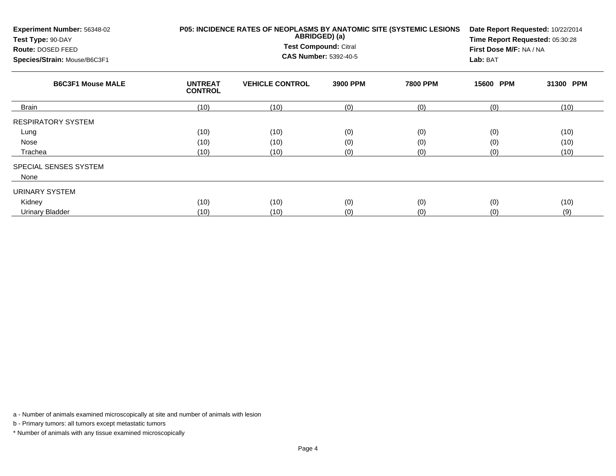| Experiment Number: 56348-02<br>Test Type: 90-DAY<br>Route: DOSED FEED<br>Species/Strain: Mouse/B6C3F1 | P05: INCIDENCE RATES OF NEOPLASMS BY ANATOMIC SITE (SYSTEMIC LESIONS | Date Report Requested: 10/22/2014<br>Time Report Requested: 05:30:28<br>First Dose M/F: NA / NA<br>Lab: BAT |          |                 |                     |           |
|-------------------------------------------------------------------------------------------------------|----------------------------------------------------------------------|-------------------------------------------------------------------------------------------------------------|----------|-----------------|---------------------|-----------|
| <b>B6C3F1 Mouse MALE</b>                                                                              | <b>UNTREAT</b><br><b>CONTROL</b>                                     | <b>VEHICLE CONTROL</b>                                                                                      | 3900 PPM | <b>7800 PPM</b> | 15600<br><b>PPM</b> | 31300 PPM |
| Brain                                                                                                 | (10)                                                                 | (10)                                                                                                        | (0)      | (0)             | (0)                 | (10)      |
| <b>RESPIRATORY SYSTEM</b>                                                                             |                                                                      |                                                                                                             |          |                 |                     |           |
| Lung                                                                                                  | (10)                                                                 | (10)                                                                                                        | (0)      | (0)             | (0)                 | (10)      |
| Nose                                                                                                  | (10)                                                                 | (10)                                                                                                        | (0)      | (0)             | (0)                 | (10)      |
| Trachea                                                                                               | (10)                                                                 | (10)                                                                                                        | (0)      | (0)             | (0)                 | (10)      |
| SPECIAL SENSES SYSTEM<br>None                                                                         |                                                                      |                                                                                                             |          |                 |                     |           |
| URINARY SYSTEM                                                                                        |                                                                      |                                                                                                             |          |                 |                     |           |
| Kidney                                                                                                | (10)                                                                 | (10)                                                                                                        | (0)      | (0)             | (0)                 | (10)      |
| <b>Urinary Bladder</b>                                                                                | (10)                                                                 | (10)                                                                                                        | (0)      | (0)             | (0)                 | (9)       |

b - Primary tumors: all tumors except metastatic tumors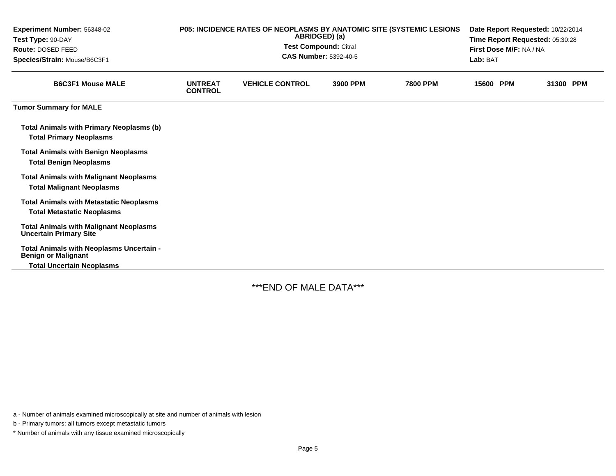| Experiment Number: 56348-02<br>Test Type: 90-DAY<br><b>Route: DOSED FEED</b><br>Species/Strain: Mouse/B6C3F1 | P05: INCIDENCE RATES OF NEOPLASMS BY ANATOMIC SITE (SYSTEMIC LESIONS<br>ABRIDGED) (a)<br>Test Compound: Citral<br><b>CAS Number: 5392-40-5</b> |                        |          |                 | Date Report Requested: 10/22/2014<br>Time Report Requested: 05:30:28<br>First Dose M/F: NA / NA<br>Lab: BAT |  |           |  |
|--------------------------------------------------------------------------------------------------------------|------------------------------------------------------------------------------------------------------------------------------------------------|------------------------|----------|-----------------|-------------------------------------------------------------------------------------------------------------|--|-----------|--|
| <b>B6C3F1 Mouse MALE</b>                                                                                     | <b>UNTREAT</b><br><b>CONTROL</b>                                                                                                               | <b>VEHICLE CONTROL</b> | 3900 PPM | <b>7800 PPM</b> | 15600 PPM                                                                                                   |  | 31300 PPM |  |
| <b>Tumor Summary for MALE</b>                                                                                |                                                                                                                                                |                        |          |                 |                                                                                                             |  |           |  |
| <b>Total Animals with Primary Neoplasms (b)</b><br><b>Total Primary Neoplasms</b>                            |                                                                                                                                                |                        |          |                 |                                                                                                             |  |           |  |
| <b>Total Animals with Benign Neoplasms</b><br><b>Total Benign Neoplasms</b>                                  |                                                                                                                                                |                        |          |                 |                                                                                                             |  |           |  |
| <b>Total Animals with Malignant Neoplasms</b><br><b>Total Malignant Neoplasms</b>                            |                                                                                                                                                |                        |          |                 |                                                                                                             |  |           |  |
| <b>Total Animals with Metastatic Neoplasms</b><br><b>Total Metastatic Neoplasms</b>                          |                                                                                                                                                |                        |          |                 |                                                                                                             |  |           |  |
| <b>Total Animals with Malignant Neoplasms</b><br><b>Uncertain Primary Site</b>                               |                                                                                                                                                |                        |          |                 |                                                                                                             |  |           |  |
| Total Animals with Neoplasms Uncertain -<br><b>Benign or Malignant</b><br><b>Total Uncertain Neoplasms</b>   |                                                                                                                                                |                        |          |                 |                                                                                                             |  |           |  |

\*\*\*END OF MALE DATA\*\*\*

a - Number of animals examined microscopically at site and number of animals with lesion

b - Primary tumors: all tumors except metastatic tumors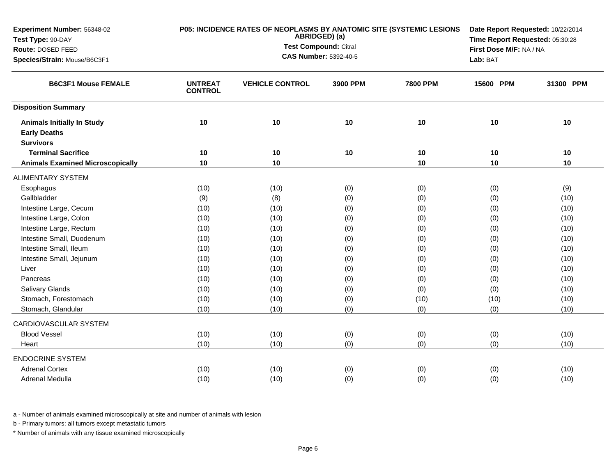| Experiment Number: 56348-02             |                                  | P05: INCIDENCE RATES OF NEOPLASMS BY ANATOMIC SITE (SYSTEMIC LESIONS<br>ABRIDGED) (a) | Date Report Requested: 10/22/2014 |                 |                                     |           |
|-----------------------------------------|----------------------------------|---------------------------------------------------------------------------------------|-----------------------------------|-----------------|-------------------------------------|-----------|
| Test Type: 90-DAY                       |                                  | Test Compound: Citral                                                                 | Time Report Requested: 05:30:28   |                 |                                     |           |
| Route: DOSED FEED                       |                                  | <b>CAS Number: 5392-40-5</b>                                                          |                                   |                 | First Dose M/F: NA / NA<br>Lab: BAT |           |
| Species/Strain: Mouse/B6C3F1            |                                  |                                                                                       |                                   |                 |                                     |           |
| <b>B6C3F1 Mouse FEMALE</b>              | <b>UNTREAT</b><br><b>CONTROL</b> | <b>VEHICLE CONTROL</b>                                                                | 3900 PPM                          | <b>7800 PPM</b> | 15600 PPM                           | 31300 PPM |
| <b>Disposition Summary</b>              |                                  |                                                                                       |                                   |                 |                                     |           |
| <b>Animals Initially In Study</b>       | 10                               | 10                                                                                    | 10                                | 10              | 10                                  | 10        |
| <b>Early Deaths</b><br><b>Survivors</b> |                                  |                                                                                       |                                   |                 |                                     |           |
| <b>Terminal Sacrifice</b>               | 10                               | 10                                                                                    | 10                                | 10              | 10                                  | 10        |
| <b>Animals Examined Microscopically</b> | 10                               | 10                                                                                    |                                   | 10              | 10                                  | 10        |
|                                         |                                  |                                                                                       |                                   |                 |                                     |           |
| <b>ALIMENTARY SYSTEM</b>                |                                  |                                                                                       |                                   |                 |                                     |           |
| Esophagus<br>Gallbladder                | (10)                             | (10)                                                                                  | (0)                               | (0)             | (0)                                 | (9)       |
|                                         | (9)                              | (8)                                                                                   | (0)                               | (0)             | (0)                                 | (10)      |
| Intestine Large, Cecum                  | (10)                             | (10)<br>(10)                                                                          | (0)                               | (0)             | (0)                                 | (10)      |
| Intestine Large, Colon                  | (10)                             |                                                                                       | (0)                               | (0)             | (0)                                 | (10)      |
| Intestine Large, Rectum                 | (10)                             | (10)                                                                                  | (0)                               | (0)             | (0)                                 | (10)      |
| Intestine Small, Duodenum               | (10)                             | (10)                                                                                  | (0)                               | (0)             | (0)                                 | (10)      |
| Intestine Small, Ileum                  | (10)                             | (10)                                                                                  | (0)                               | (0)             | (0)                                 | (10)      |
| Intestine Small, Jejunum                | (10)                             | (10)                                                                                  | (0)                               | (0)             | (0)                                 | (10)      |
| Liver                                   | (10)                             | (10)                                                                                  | (0)                               | (0)             | (0)                                 | (10)      |
| Pancreas                                | (10)                             | (10)                                                                                  | (0)                               | (0)             | (0)                                 | (10)      |
| Salivary Glands                         | (10)                             | (10)                                                                                  | (0)                               | (0)             | (0)                                 | (10)      |
| Stomach, Forestomach                    | (10)                             | (10)                                                                                  | (0)                               | (10)            | (10)                                | (10)      |
| Stomach, Glandular                      | (10)                             | (10)                                                                                  | (0)                               | (0)             | (0)                                 | (10)      |
| CARDIOVASCULAR SYSTEM                   |                                  |                                                                                       |                                   |                 |                                     |           |
| <b>Blood Vessel</b>                     | (10)                             | (10)                                                                                  | (0)                               | (0)             | (0)                                 | (10)      |
| Heart                                   | (10)                             | (10)                                                                                  | (0)                               | (0)             | (0)                                 | (10)      |
| <b>ENDOCRINE SYSTEM</b>                 |                                  |                                                                                       |                                   |                 |                                     |           |
| <b>Adrenal Cortex</b>                   | (10)                             | (10)                                                                                  | (0)                               | (0)             | (0)                                 | (10)      |
| Adrenal Medulla                         | (10)                             | (10)                                                                                  | (0)                               | (0)             | (0)                                 | (10)      |

b - Primary tumors: all tumors except metastatic tumors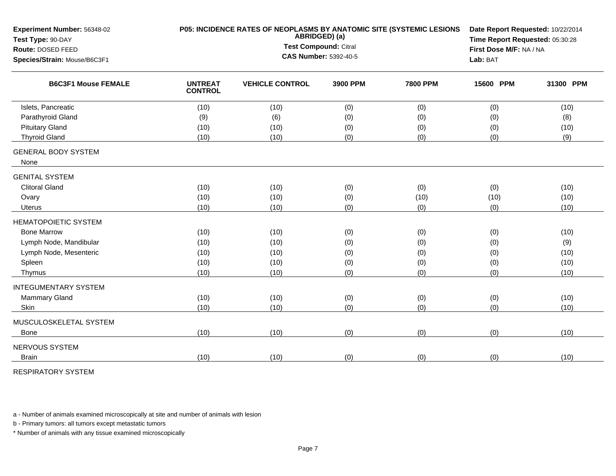| Experiment Number: 56348-02<br>Test Type: 90-DAY |                                  | P05: INCIDENCE RATES OF NEOPLASMS BY ANATOMIC SITE (SYSTEMIC LESIONS<br>ABRIDGED) (a) | Date Report Requested: 10/22/2014<br>Time Report Requested: 05:30:28<br>First Dose M/F: NA / NA |                 |           |           |
|--------------------------------------------------|----------------------------------|---------------------------------------------------------------------------------------|-------------------------------------------------------------------------------------------------|-----------------|-----------|-----------|
| Route: DOSED FEED                                |                                  | Test Compound: Citral                                                                 |                                                                                                 |                 |           |           |
| Species/Strain: Mouse/B6C3F1                     |                                  |                                                                                       | <b>CAS Number: 5392-40-5</b>                                                                    |                 | Lab: BAT  |           |
| <b>B6C3F1 Mouse FEMALE</b>                       | <b>UNTREAT</b><br><b>CONTROL</b> | <b>VEHICLE CONTROL</b>                                                                | 3900 PPM                                                                                        | <b>7800 PPM</b> | 15600 PPM | 31300 PPM |
| Islets, Pancreatic                               | (10)                             | (10)                                                                                  | (0)                                                                                             | (0)             | (0)       | (10)      |
| Parathyroid Gland                                | (9)                              | (6)                                                                                   | (0)                                                                                             | (0)             | (0)       | (8)       |
| <b>Pituitary Gland</b>                           | (10)                             | (10)                                                                                  | (0)                                                                                             | (0)             | (0)       | (10)      |
| <b>Thyroid Gland</b>                             | (10)                             | (10)                                                                                  | (0)                                                                                             | (0)             | (0)       | (9)       |
| <b>GENERAL BODY SYSTEM</b><br>None               |                                  |                                                                                       |                                                                                                 |                 |           |           |
| <b>GENITAL SYSTEM</b>                            |                                  |                                                                                       |                                                                                                 |                 |           |           |
| <b>Clitoral Gland</b>                            | (10)                             | (10)                                                                                  | (0)                                                                                             | (0)             | (0)       | (10)      |
| Ovary                                            | (10)                             | (10)                                                                                  | (0)                                                                                             | (10)            | (10)      | (10)      |
| Uterus                                           | (10)                             | (10)                                                                                  | (0)                                                                                             | (0)             | (0)       | (10)      |
| <b>HEMATOPOIETIC SYSTEM</b>                      |                                  |                                                                                       |                                                                                                 |                 |           |           |
| <b>Bone Marrow</b>                               | (10)                             | (10)                                                                                  | (0)                                                                                             | (0)             | (0)       | (10)      |
| Lymph Node, Mandibular                           | (10)                             | (10)                                                                                  | (0)                                                                                             | (0)             | (0)       | (9)       |
| Lymph Node, Mesenteric                           | (10)                             | (10)                                                                                  | (0)                                                                                             | (0)             | (0)       | (10)      |
| Spleen                                           | (10)                             | (10)                                                                                  | (0)                                                                                             | (0)             | (0)       | (10)      |
| Thymus                                           | (10)                             | (10)                                                                                  | (0)                                                                                             | (0)             | (0)       | (10)      |
| <b>INTEGUMENTARY SYSTEM</b>                      |                                  |                                                                                       |                                                                                                 |                 |           |           |
| Mammary Gland                                    | (10)                             | (10)                                                                                  | (0)                                                                                             | (0)             | (0)       | (10)      |
| Skin                                             | (10)                             | (10)                                                                                  | (0)                                                                                             | (0)             | (0)       | (10)      |
| MUSCULOSKELETAL SYSTEM                           |                                  |                                                                                       |                                                                                                 |                 |           |           |
| <b>Bone</b>                                      | (10)                             | (10)                                                                                  | (0)                                                                                             | (0)             | (0)       | (10)      |
| NERVOUS SYSTEM                                   |                                  |                                                                                       |                                                                                                 |                 |           |           |
| <b>Brain</b>                                     | (10)                             | (10)                                                                                  | (0)                                                                                             | (0)             | (0)       | (10)      |
|                                                  |                                  |                                                                                       |                                                                                                 |                 |           |           |

RESPIRATORY SYSTEM

a - Number of animals examined microscopically at site and number of animals with lesion

b - Primary tumors: all tumors except metastatic tumors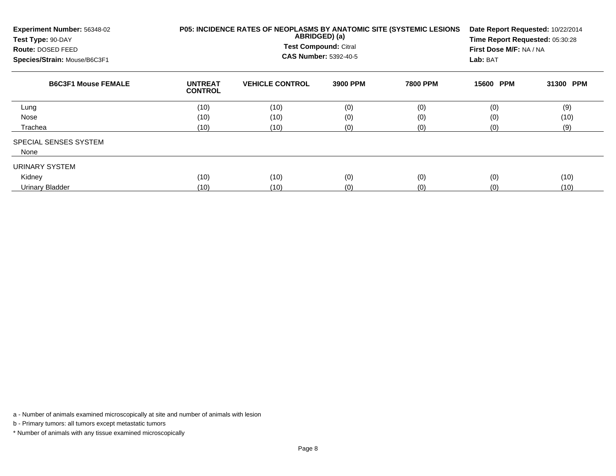| Experiment Number: 56348-02<br>Test Type: 90-DAY<br>Route: DOSED FEED<br>Species/Strain: Mouse/B6C3F1 |                                  | <b>P05: INCIDENCE RATES OF NEOPLASMS BY ANATOMIC SITE (SYSTEMIC LESIONS)</b><br>ABRIDGED) (a)<br><b>Test Compound: Citral</b><br><b>CAS Number: 5392-40-5</b> | Date Report Requested: 10/22/2014<br>Time Report Requested: 05:30:28<br>First Dose M/F: NA / NA<br>Lab: BAT |                 |           |           |
|-------------------------------------------------------------------------------------------------------|----------------------------------|---------------------------------------------------------------------------------------------------------------------------------------------------------------|-------------------------------------------------------------------------------------------------------------|-----------------|-----------|-----------|
| <b>B6C3F1 Mouse FEMALE</b>                                                                            | <b>UNTREAT</b><br><b>CONTROL</b> | <b>VEHICLE CONTROL</b>                                                                                                                                        | 3900 PPM                                                                                                    | <b>7800 PPM</b> | 15600 PPM | 31300 PPM |
| Lung                                                                                                  | (10)                             | (10)                                                                                                                                                          | (0)                                                                                                         | (0)             | (0)       | (9)       |
| Nose                                                                                                  | (10)                             | (10)                                                                                                                                                          | (0)                                                                                                         | (0)             | (0)       | (10)      |
| Trachea                                                                                               | (10)                             | (10)                                                                                                                                                          | (0)                                                                                                         | (0)             | (0)       | (9)       |
| SPECIAL SENSES SYSTEM                                                                                 |                                  |                                                                                                                                                               |                                                                                                             |                 |           |           |
| None                                                                                                  |                                  |                                                                                                                                                               |                                                                                                             |                 |           |           |
| URINARY SYSTEM                                                                                        |                                  |                                                                                                                                                               |                                                                                                             |                 |           |           |
| Kidney                                                                                                | (10)                             | (10)                                                                                                                                                          | (0)                                                                                                         | (0)             | (0)       | (10)      |
| Urinary Bladder                                                                                       | (10)                             | (10)                                                                                                                                                          | (0)                                                                                                         | (0)             | (0)       | (10)      |

b - Primary tumors: all tumors except metastatic tumors